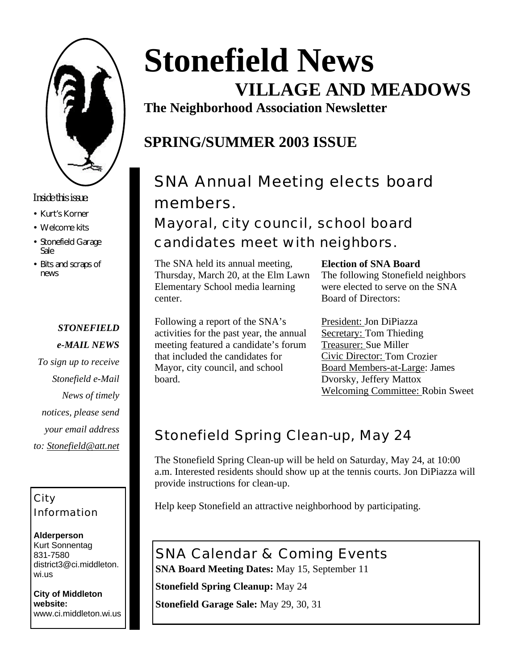

### *Inside this issue:*

- Kurt's Korner
- Welcome kits
- Stonefield Garage Sale
- Bits and scraps of news

### *STONEFIELD*

- *e-MAIL NEWS*
- *To sign up to receive Stonefield e-Mail News of timely notices, please send your email address to: Stonefield@att.net*

### City Information

**Alderperson** Kurt Sonnentag 831-7580 district3@ci.middleton. wi.us

**City of Middleton website:** www.ci.middleton.wi.us

# **Stonefield News VILLAGE AND MEADOWS**

**The Neighborhood Association Newsletter**

### **SPRING/SUMMER 2003 ISSUE**

# SNA Annual Meeting elects board members.

Mayoral, city council, school board candidates meet with neighbors.

The SNA held its annual meeting, Thursday, March 20, at the Elm Lawn Elementary School media learning center.

**Election of SNA Board**

The following Stonefield neighbors were elected to serve on the SNA Board of Directors:

Following a report of the SNA's activities for the past year, the annual meeting featured a candidate's forum that included the candidates for Mayor, city council, and school board.

President: Jon DiPiazza Secretary: Tom Thieding Treasurer: Sue Miller Civic Director: Tom Crozier Board Members-at-Large: James Dvorsky, Jeffery Mattox Welcoming Committee: Robin Sweet

### Stonefield Spring Clean-up, May 24

The Stonefield Spring Clean-up will be held on Saturday, May 24, at 10:00 a.m. Interested residents should show up at the tennis courts. Jon DiPiazza will provide instructions for clean-up.

Help keep Stonefield an attractive neighborhood by participating.

### SNA Calendar & Coming Events

**SNA Board Meeting Dates:** May 15, September 11

**Stonefield Spring Cleanup:** May 24

**Stonefield Garage Sale:** May 29, 30, 31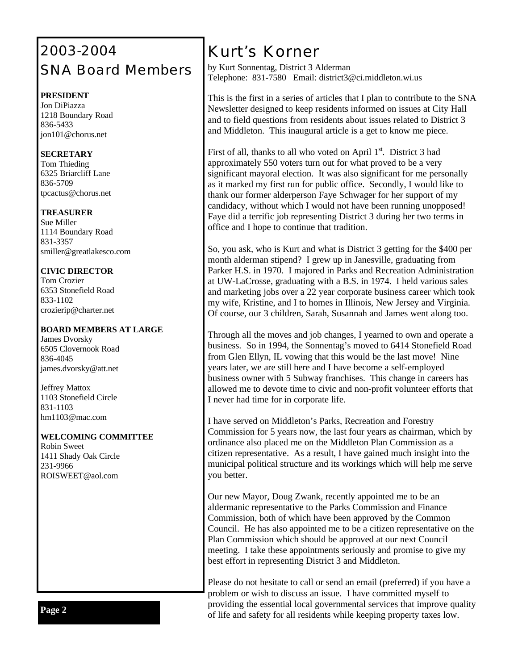### 2003-2004 SNA Board Members

#### **PRESIDENT**

Jon DiPiazza 1218 Boundary Road 836-5433 jon101@chorus.net

#### **SECRETARY**

Tom Thieding 6325 Briarcliff Lane 836-5709 tpcactus@chorus.net

#### **TREASURER**

Sue Miller 1114 Boundary Road 831-3357 smiller@greatlakesco.com

#### **CIVIC DIRECTOR**

Tom Crozier 6353 Stonefield Road 833-1102 crozierip@charter.net

#### **BOARD MEMBERS AT LARGE**

James Dvorsky 6505 Clovernook Road 836-4045 james.dvorsky@att.net

Jeffrey Mattox 1103 Stonefield Circle 831-1103 hm1103@mac.com

#### **WELCOMING COMMITTEE**

Robin Sweet 1411 Shady Oak Circle 231-9966 ROISWEET@aol.com

### *Kurt's Korner*

by Kurt Sonnentag, District 3 Alderman Telephone: 831-7580 Email: district3@ci.middleton.wi.us

This is the first in a series of articles that I plan to contribute to the SNA Newsletter designed to keep residents informed on issues at City Hall and to field questions from residents about issues related to District 3 and Middleton. This inaugural article is a get to know me piece.

First of all, thanks to all who voted on April  $1<sup>st</sup>$ . District 3 had approximately 550 voters turn out for what proved to be a very significant mayoral election. It was also significant for me personally as it marked my first run for public office. Secondly, I would like to thank our former alderperson Faye Schwager for her support of my candidacy, without which I would not have been running unopposed! Faye did a terrific job representing District 3 during her two terms in office and I hope to continue that tradition.

So, you ask, who is Kurt and what is District 3 getting for the \$400 per month alderman stipend? I grew up in Janesville, graduating from Parker H.S. in 1970. I majored in Parks and Recreation Administration at UW-LaCrosse, graduating with a B.S. in 1974. I held various sales and marketing jobs over a 22 year corporate business career which took my wife, Kristine, and I to homes in Illinois, New Jersey and Virginia. Of course, our 3 children, Sarah, Susannah and James went along too.

Through all the moves and job changes, I yearned to own and operate a business. So in 1994, the Sonnentag's moved to 6414 Stonefield Road from Glen Ellyn, IL vowing that this would be the last move! Nine years later, we are still here and I have become a self-employed business owner with 5 Subway franchises. This change in careers has allowed me to devote time to civic and non-profit volunteer efforts that I never had time for in corporate life.

I have served on Middleton's Parks, Recreation and Forestry Commission for 5 years now, the last four years as chairman, which by ordinance also placed me on the Middleton Plan Commission as a citizen representative. As a result, I have gained much insight into the municipal political structure and its workings which will help me serve you better.

Our new Mayor, Doug Zwank, recently appointed me to be an aldermanic representative to the Parks Commission and Finance Commission, both of which have been approved by the Common Council. He has also appointed me to be a citizen representative on the Plan Commission which should be approved at our next Council meeting. I take these appointments seriously and promise to give my best effort in representing District 3 and Middleton.

Please do not hesitate to call or send an email (preferred) if you have a problem or wish to discuss an issue. I have committed myself to providing the essential local governmental services that improve quality providing the essential local governmental services that improve quality of life and safety for all residents while keeping property taxes low.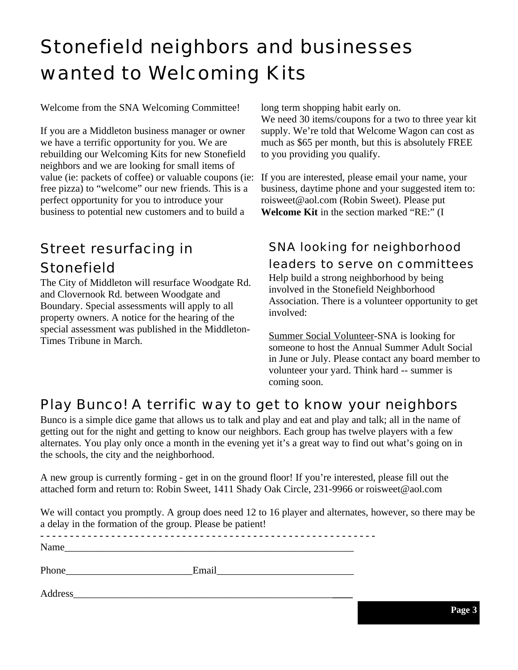# Stonefield neighbors and businesses wanted to Welcoming Kits

Welcome from the SNA Welcoming Committee!

If you are a Middleton business manager or owner we have a terrific opportunity for you. We are rebuilding our Welcoming Kits for new Stonefield neighbors and we are looking for small items of value (ie: packets of coffee) or valuable coupons (ie: free pizza) to "welcome" our new friends. This is a perfect opportunity for you to introduce your business to potential new customers and to build a

### Street resurfacing in **Stonefield**

The City of Middleton will resurface Woodgate Rd. and Clovernook Rd. between Woodgate and Boundary. Special assessments will apply to all property owners. A notice for the hearing of the special assessment was published in the Middleton-Times Tribune in March.

long term shopping habit early on.

We need 30 items/coupons for a two to three year kit supply. We're told that Welcome Wagon can cost as much as \$65 per month, but this is absolutely FREE to you providing you qualify.

If you are interested, please email your name, your business, daytime phone and your suggested item to: roisweet@aol.com (Robin Sweet). Please put **Welcome Kit** in the section marked "RE:" (I

#### SNA looking for neighborhood leaders to serve on committees Help build a strong neighborhood by being involved in the Stonefield Neighborhood Association. There is a volunteer opportunity to get

involved: Summer Social Volunteer-SNA is looking for someone to host the Annual Summer Adult Social

#### in June or July. Please contact any board member to volunteer your yard. Think hard -- summer is coming soon.

### Play Bunco! A terrific way to get to know your neighbors

Bunco is a simple dice game that allows us to talk and play and eat and play and talk; all in the name of getting out for the night and getting to know our neighbors. Each group has twelve players with a few alternates. You play only once a month in the evening yet it's a great way to find out what's going on in the schools, the city and the neighborhood.

A new group is currently forming - get in on the ground floor! If you're interested, please fill out the attached form and return to: Robin Sweet, 1411 Shady Oak Circle, 231-9966 or roisweet@aol.com

We will contact you promptly. A group does need 12 to 16 player and alternates, however, so there may be a delay in the formation of the group. Please be patient!

**- - - - - - - - - - - - - - - - - - - - - - - - - - - - - - - - - - - - - - - - - - - - - - - - - - - - - - - - -**

Name\_\_\_\_\_\_\_\_\_\_\_\_\_\_\_\_\_\_\_\_\_\_\_\_\_\_\_\_\_\_\_\_\_\_\_\_\_\_\_\_\_\_\_\_\_\_\_\_\_\_\_\_\_\_\_\_\_

Phone\_\_\_\_\_\_\_\_\_\_\_\_\_\_\_\_\_\_\_\_\_\_\_\_\_Email\_\_\_\_\_\_\_\_\_\_\_\_\_\_\_\_\_\_\_\_\_\_\_\_\_\_\_

Address\_\_\_\_\_\_\_\_\_\_\_\_\_\_\_\_\_\_\_\_\_\_\_\_\_\_\_\_\_\_\_\_\_\_\_\_\_\_\_\_\_\_\_\_\_\_\_\_\_\_\_**\_\_\_\_**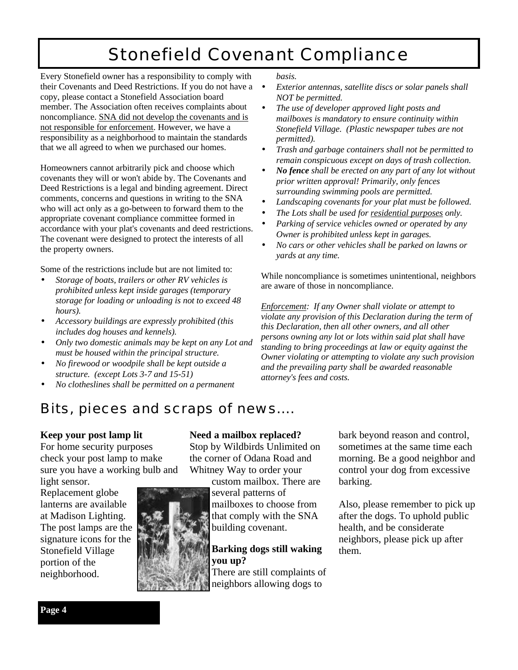## Stonefield Covenant Compliance

Every Stonefield owner has a responsibility to comply with their Covenants and Deed Restrictions. If you do not have a copy, please contact a Stonefield Association board member. The Association often receives complaints about noncompliance. SNA did not develop the covenants and is not responsible for enforcement. However, we have a responsibility as a neighborhood to maintain the standards that we all agreed to when we purchased our homes.

Homeowners cannot arbitrarily pick and choose which covenants they will or won't abide by. The Covenants and Deed Restrictions is a legal and binding agreement. Direct comments, concerns and questions in writing to the SNA who will act only as a go-between to forward them to the appropriate covenant compliance committee formed in accordance with your plat's covenants and deed restrictions. The covenant were designed to protect the interests of all the property owners.

Some of the restrictions include but are not limited to:

- *Storage of boats, trailers or other RV vehicles is prohibited unless kept inside garages (temporary storage for loading or unloading is not to exceed 48 hours).*
- *Accessory buildings are expressly prohibited (this includes dog houses and kennels).*
- *Only two domestic animals may be kept on any Lot and must be housed within the principal structure.*
- *No firewood or woodpile shall be kept outside a structure. (except Lots 3-7 and 15-51)*
- *No clotheslines shall be permitted on a permanent*

*basis.*

- *Exterior antennas, satellite discs or solar panels shall NOT be permitted.*
- *The use of developer approved light posts and mailboxes is mandatory to ensure continuity within Stonefield Village. (Plastic newspaper tubes are not permitted).*
- *Trash and garbage containers shall not be permitted to remain conspicuous except on days of trash collection.*
- *No fence shall be erected on any part of any lot without prior written approval! Primarily, only fences surrounding swimming pools are permitted.*
- *Landscaping covenants for your plat must be followed.*
- *The Lots shall be used for residential purposes only.*
- *Parking of service vehicles owned or operated by any Owner is prohibited unless kept in garages.*
- *No cars or other vehicles shall be parked on lawns or yards at any time.*

While noncompliance is sometimes unintentional, neighbors are aware of those in noncompliance.

*Enforcement: If any Owner shall violate or attempt to violate any provision of this Declaration during the term of this Declaration, then all other owners, and all other persons owning any lot or lots within said plat shall have standing to bring proceedings at law or equity against the Owner violating or attempting to violate any such provision and the prevailing party shall be awarded reasonable attorney's fees and costs.*

### Bits, pieces and scraps of news….

#### **Keep your post lamp lit**

For home security purposes check your post lamp to make sure you have a working bulb and

light sensor. Replacement globe lanterns are available at Madison Lighting. The post lamps are the signature icons for the Stonefield Village portion of the neighborhood.



#### **Need a mailbox replaced?**

Stop by Wildbirds Unlimited on the corner of Odana Road and Whitney Way to order your

custom mailbox. There are several patterns of

mailboxes to choose from that comply with the SNA building covenant.

### **Barking dogs still waking you up?**

There are still complaints of neighbors allowing dogs to

bark beyond reason and control, sometimes at the same time each morning. Be a good neighbor and control your dog from excessive barking.

Also, please remember to pick up after the dogs. To uphold public health, and be considerate neighbors, please pick up after them.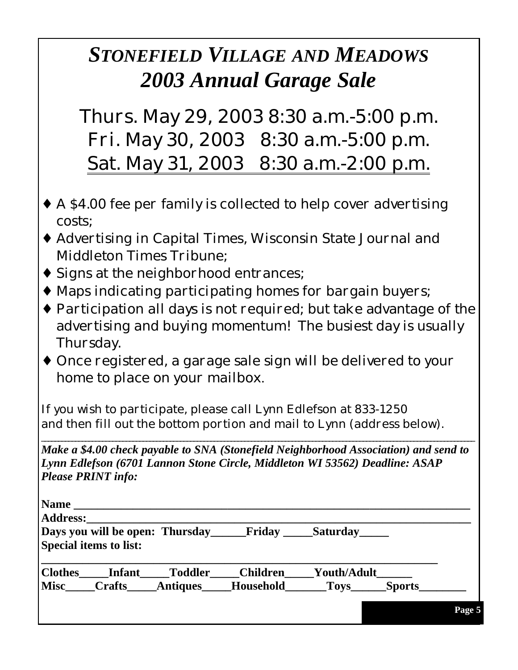# *STONEFIELD VILLAGE AND MEADOWS 2003 Annual Garage Sale*

Thurs. May 29, 2003 8:30 a.m.-5:00 p.m. Fri. May 30, 2003 8:30 a.m.-5:00 p.m. Sat. May 31, 2003 8:30 a.m.-2:00 p.m.

- ♦ A \$4.00 fee per family is collected to help cover advertising costs;
- ♦ Advertising in Capital Times, Wisconsin State Journal and Middleton Times Tribune;
- ♦ Signs at the neighborhood entrances;
- ♦ Maps indicating participating homes for bargain buyers;
- ♦ Participation all days is not required; but take advantage of the advertising and buying momentum! The busiest day is usually Thursday.
- ♦ Once registered, a garage sale sign will be delivered to your home to place on your mailbox.

If you wish to participate, please call Lynn Edlefson at 833-1250 and then fill out the bottom portion and mail to Lynn (address below).

*Make a \$4.00 check payable to SNA (Stonefield Neighborhood Association) and send to Lynn Edlefson (6701 Lannon Stone Circle, Middleton WI 53562) Deadline: ASAP Please PRINT info:*

\_\_\_\_\_\_\_\_\_\_\_\_\_\_\_\_\_\_\_\_\_\_\_\_\_\_\_\_\_\_\_\_\_\_\_\_\_\_\_\_\_\_\_\_\_\_\_\_\_\_\_\_\_\_\_\_\_\_\_\_\_\_\_\_\_\_\_\_\_\_\_\_\_\_\_\_\_\_\_\_\_\_\_\_\_\_\_\_\_\_\_\_\_\_\_\_\_\_\_\_\_\_\_\_\_\_\_\_\_\_\_\_\_\_\_\_\_\_\_\_\_\_\_\_\_\_\_\_

| <b>Address:</b><br>Days you will be open: Thursday |                               |                 | <b>Friday</b>   | Saturday                     |  |
|----------------------------------------------------|-------------------------------|-----------------|-----------------|------------------------------|--|
|                                                    | <b>Special items to list:</b> |                 |                 |                              |  |
| <b>Clothes</b>                                     | <b>Infant</b>                 | <b>Toddler</b>  | <b>Children</b> | Youth/Adult                  |  |
| <b>Misc</b>                                        | <b>Crafts</b>                 | <b>Antiques</b> | Household       | <b>Sports</b><br><b>Toys</b> |  |